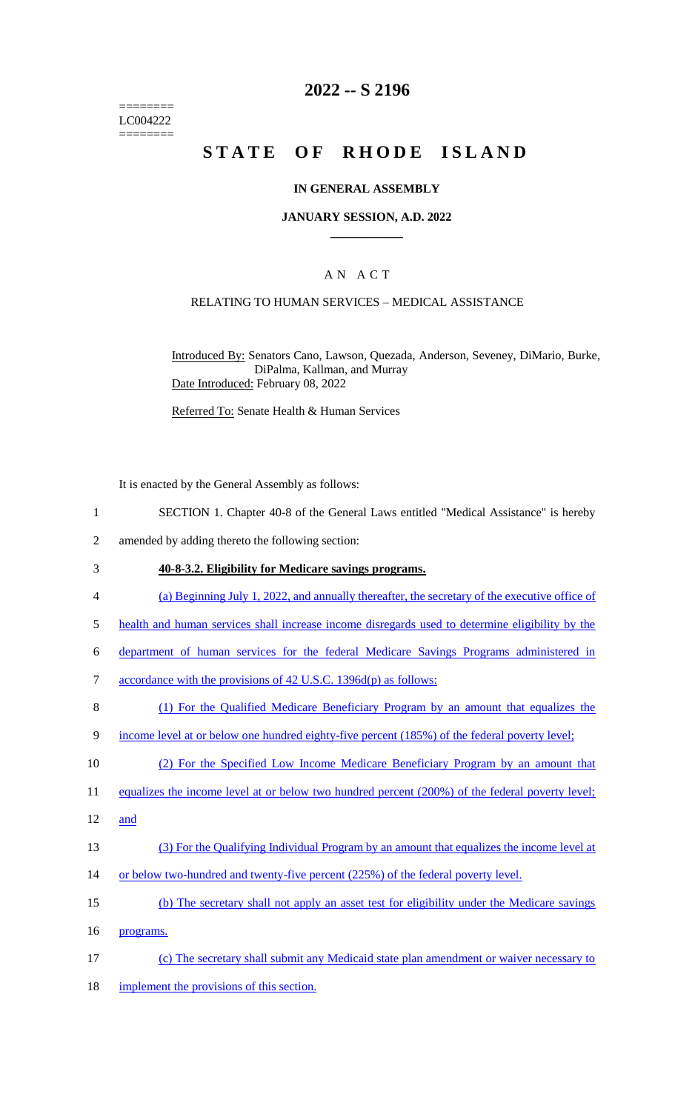======== LC004222 ========

# **2022 -- S 2196**

# **STATE OF RHODE ISLAND**

### **IN GENERAL ASSEMBLY**

#### **JANUARY SESSION, A.D. 2022 \_\_\_\_\_\_\_\_\_\_\_\_**

## A N A C T

### RELATING TO HUMAN SERVICES – MEDICAL ASSISTANCE

Introduced By: Senators Cano, Lawson, Quezada, Anderson, Seveney, DiMario, Burke, DiPalma, Kallman, and Murray Date Introduced: February 08, 2022

Referred To: Senate Health & Human Services

It is enacted by the General Assembly as follows:

- 1 SECTION 1. Chapter 40-8 of the General Laws entitled "Medical Assistance" is hereby
- 2 amended by adding thereto the following section:
- 3 **40-8-3.2. Eligibility for Medicare savings programs.**
- 4 (a) Beginning July 1, 2022, and annually thereafter, the secretary of the executive office of
- 5 health and human services shall increase income disregards used to determine eligibility by the
- 6 department of human services for the federal Medicare Savings Programs administered in
- 7 accordance with the provisions of 42 U.S.C. 1396d(p) as follows:
- 8 (1) For the Qualified Medicare Beneficiary Program by an amount that equalizes the
- 9 income level at or below one hundred eighty-five percent (185%) of the federal poverty level;

10 (2) For the Specified Low Income Medicare Beneficiary Program by an amount that

11 equalizes the income level at or below two hundred percent (200%) of the federal poverty level;

- 12 and
- 13 (3) For the Qualifying Individual Program by an amount that equalizes the income level at
- 14 or below two-hundred and twenty-five percent (225%) of the federal poverty level.
- 15 (b) The secretary shall not apply an asset test for eligibility under the Medicare savings

16 programs.

- 17 (c) The secretary shall submit any Medicaid state plan amendment or waiver necessary to
- 18 implement the provisions of this section.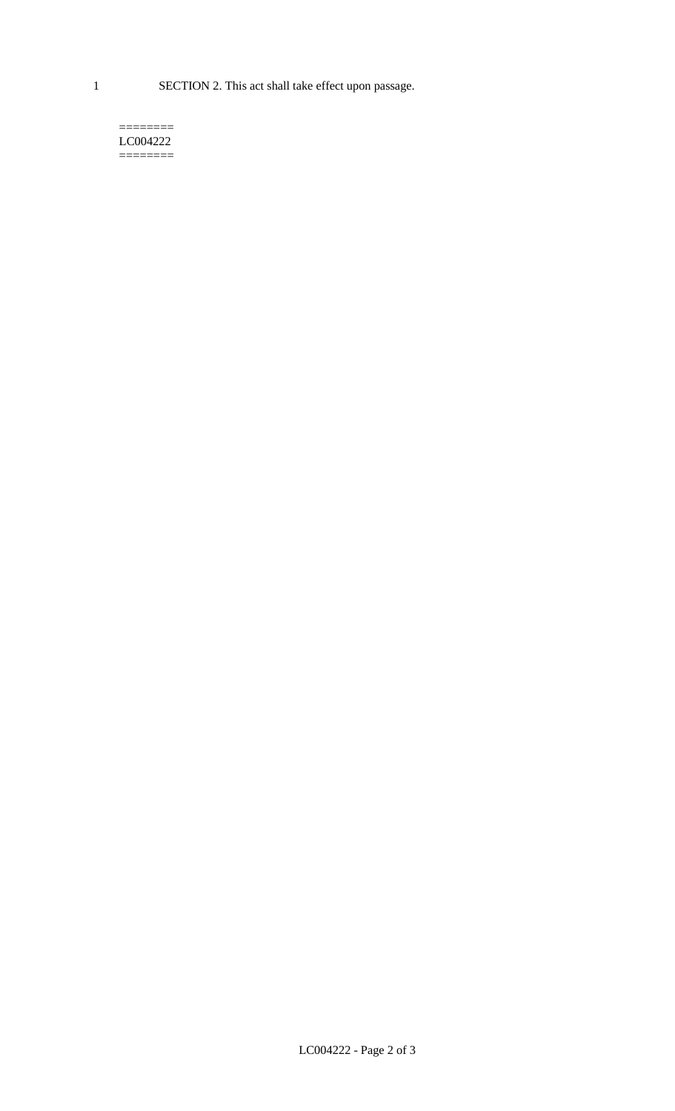1 SECTION 2. This act shall take effect upon passage.

#### $=$ LC004222  $=$